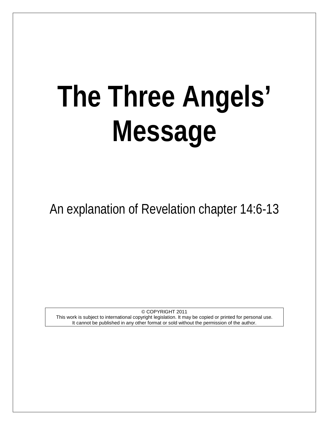# **The Three Angels' Message**

An explanation of Revelation chapter 14:6-13

© COPYRIGHT 2011 This work is subject to international copyright legislation. It may be copied or printed for personal use. It cannot be published in any other format or sold without the permission of the author.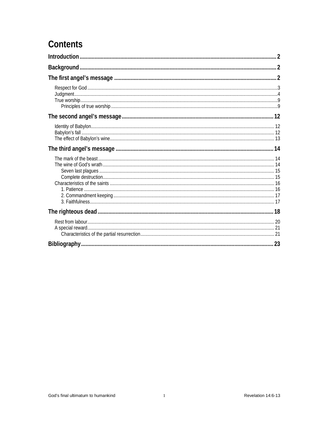# **Contents**

| 23 |
|----|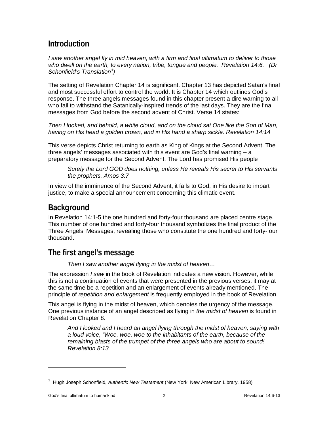# <span id="page-2-0"></span>**Introduction**

*I saw another angel fly in mid heaven, with a firm and final ultimatum to deliver to those who dwell on the earth, to every nation, tribe, tongue and people. Revelation 14:6. (Dr Schonfield's Translation***[1](#page-2-3)** *)*

The setting of Revelation Chapter 14 is significant. Chapter 13 has depicted Satan's final and most successful effort to control the world. It is Chapter 14 which outlines God's response. The three angels messages found in this chapter present a dire warning to all who fail to withstand the Satanically-inspired trends of the last days. They are the final messages from God before the second advent of Christ. Verse 14 states:

*Then I looked, and behold, a white cloud, and on the cloud sat One like the Son of Man, having on His head a golden crown, and in His hand a sharp sickle. Revelation 14:14*

This verse depicts Christ returning to earth as King of Kings at the Second Advent. The three angels' messages associated with this event are God's final warning – a preparatory message for the Second Advent. The Lord has promised His people

*Surely the Lord GOD does nothing, unless He reveals His secret to His servants the prophets. Amos 3:7*

In view of the imminence of the Second Advent, it falls to God, in His desire to impart justice, to make a special announcement concerning this climatic event.

# <span id="page-2-1"></span>**Background**

In Revelation 14:1-5 the one hundred and forty-four thousand are placed centre stage. This number of one hundred and forty-four thousand symbolizes the final product of the Three Angels' Messages, revealing those who constitute the one hundred and forty-four thousand.

# <span id="page-2-2"></span>**The first angel's message**

*Then I saw another angel flying in the midst of heaven…*

The expression *I saw* in the book of Revelation indicates a new vision. However, while this is not a continuation of events that were presented in the previous verses, it may at the same time be a repetition and an enlargement of events already mentioned. The principle of *repetition and enlargement* is frequently employed in the book of Revelation.

This angel is flying in the midst of heaven, which denotes the urgency of the message. One previous instance of an angel described as flying in *the midst of heaven* is found in Revelation Chapter 8.

*And I looked and I heard an angel flying through the midst of heaven, saying with a loud voice, "Woe, woe, woe to the inhabitants of the earth, because of the remaining blasts of the trumpet of the three angels who are about to sound! Revelation 8:13*

<span id="page-2-3"></span><sup>1</sup> Hugh Joseph Schonfield, *Authentic New Testament* (New York: New American Library, 1958)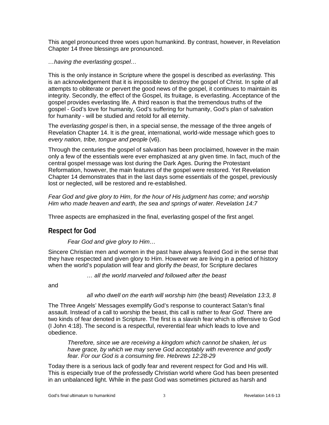This angel pronounced three woes upon humankind. By contrast, however, in Revelation Chapter 14 three blessings are pronounced.

#### *…having the everlasting gospel…*

This is the only instance in Scripture where the gospel is described as *everlasting.* This is an acknowledgement that it is impossible to destroy the gospel of Christ. In spite of all attempts to obliterate or pervert the good news of the gospel, it continues to maintain its integrity. Secondly, the effect of the Gospel, its fruitage, is everlasting. Acceptance of the gospel provides everlasting life. A third reason is that the tremendous truths of the gospel - God's love for humanity, God's suffering for humanity, God's plan of salvation for humanity - will be studied and retold for all eternity.

The *everlasting gospel* is then, in a special sense, the message of the three angels of Revelation Chapter 14. It is *the* great, international, world-wide message which goes to *every nation, tribe, tongue and people* (v6).

Through the centuries the gospel of salvation has been proclaimed, however in the main only a few of the essentials were ever emphasized at any given time. In fact, much of the central gospel message was lost during the Dark Ages. During the Protestant Reformation, however, the main features of the gospel were restored. Yet Revelation Chapter 14 demonstrates that in the last days some essentials of the gospel, previously lost or neglected, will be restored and re-established.

*Fear God and give glory to Him, for the hour of His judgment has come; and worship Him who made heaven and earth, the sea and springs of water. Revelation 14:7*

Three aspects are emphasized in the final, everlasting gospel of the first angel.

## <span id="page-3-0"></span>**Respect for God**

*Fear God and give glory to Him…*

Sincere Christian men and women in the past have always feared God in the sense that they have respected and given glory to Him. However we are living in a period of history when the world's population will fear and glorify *the beast*, for Scripture declares

*… all the world marveled and followed after the beast*

and

#### *all who dwell on the earth will worship him* (the beast) *Revelation 13:3, 8*

The Three Angels' Messages exemplify God's response to counteract Satan's final assault. Instead of a call to worship the beast, this call is rather to *fear God*. There are two kinds of fear denoted in Scripture. The first is a slavish fear which is offensive to God (I John 4:18). The second is a respectful, reverential fear which leads to love and obedience.

*Therefore, since we are receiving a kingdom which cannot be shaken, let us have grace, by which we may serve God acceptably with reverence and godly fear. For our God is a consuming fire. Hebrews 12:28-29*

Today there is a serious lack of godly fear and reverent respect for God and His will. This is especially true of the professedly Christian world where God has been presented in an unbalanced light. While in the past God was sometimes pictured as harsh and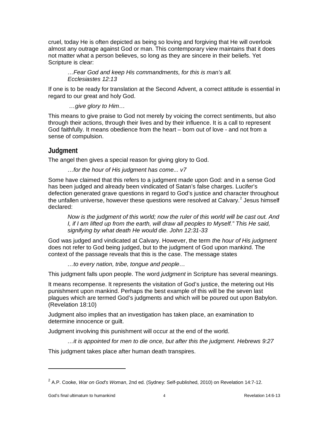cruel, today He is often depicted as being so loving and forgiving that He will overlook almost any outrage against God or man. This contemporary view maintains that it does not matter what a person believes, so long as they are sincere in their beliefs. Yet Scripture is clear:

*…Fear God and keep His commandments, for this is man's all. Ecclesiastes 12:13*

If one is to be ready for translation at the Second Advent, a correct attitude is essential in regard to our great and holy God.

*…give glory to Him…*

This means to give praise to God not merely by voicing the correct sentiments, but also through their actions, through their lives and by their influence. It is a call to represent God faithfully. It means obedience from the heart – born out of love - and not from a sense of compulsion.

## <span id="page-4-0"></span>**Judgment**

The angel then gives a special reason for giving glory to God.

*…for the hour of His judgment has come... v7*

Some have claimed that this refers to a judgment made upon God: and in a sense God has been judged and already been vindicated of Satan's false charges. Lucifer's defection generated grave questions in regard to God's justice and character throughout the unfallen universe, however these questions were resolved at Calvary.<sup>[2](#page-4-1)</sup> Jesus himself declared:

*Now is the judgment of this world; now the ruler of this world will be cast out. And I, if I am lifted up from the earth, will draw all peoples to Myself." This He said, signifying by what death He would die. John 12:31-33*

God was judged and vindicated at Calvary. However, the term *th*e *hour of His judgment* does not refer to God being judged, but to the judgment of God upon mankind. The context of the passage reveals that this is the case. The message states

*…to every nation, tribe, tongue and people…*

This judgment falls upon people. The word *judgment* in Scripture has several meanings.

It means recompense. It represents the visitation of God's justice, the metering out His punishment upon mankind. Perhaps the best example of this will be the seven last plagues which are termed God's judgments and which will be poured out upon Babylon. (Revelation 18:10)

Judgment also implies that an investigation has taken place, an examination to determine innocence or guilt.

Judgment involving this punishment will occur at the end of the world.

*…it is appointed for men to die once, but after this the judgment. Hebrews 9:27* 

This judgment takes place after human death transpires.

<span id="page-4-1"></span><sup>2</sup> A.P. Cooke, *War on God's Woman*, 2nd ed. (Sydney: Self-published, 2010) on Revelation 14:7-12.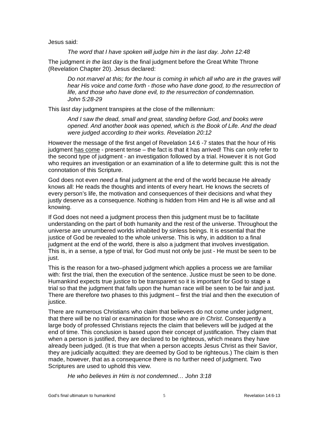Jesus said:

*The word that I have spoken will judge him in the last day. John 12:48*

The judgment *in the last day* is the final judgment before the Great White Throne (Revelation Chapter 20). Jesus declared:

*Do not marvel at this; for the hour is coming in which all who are in the graves will hear His voice and come forth - those who have done good, to the resurrection of life, and those who have done evil, to the resurrection of condemnation. John 5:28-29*

This *last day* judgment transpires at the close of the millennium:

*And I saw the dead, small and great, standing before God, and books were opened. And another book was opened, which is the Book of Life. And the dead were judged according to their works. Revelation 20:12*

However the message of the first angel of Revelation 14:6 -7 states that the hour of His judgment has come - present tense – the fact is that it has arrived! This can only refer to the second type of judgment - an investigation followed by a trial. However it is not God who requires an investigation or an examination of a life to determine guilt: this is not the connotation of this Scripture.

God does not even *need* a final judgment at the end of the world because He already knows all: He reads the thoughts and intents of every heart. He knows the secrets of every person's life, the motivation and consequences of their decisions and what they justly deserve as a consequence. Nothing is hidden from Him and He is all wise and all knowing.

If God does not need a judgment process then this judgment must be to facilitate understanding on the part of both humanity and the rest of the universe. Throughout the universe are unnumbered worlds inhabited by sinless beings. It is essential that the justice of God be revealed to the whole universe. This is why, in addition to a final judgment at the end of the world, there is also a judgment that involves investigation. This is, in a sense, a type of trial, for God must not only be just - He must be seen to be just.

This is the reason for a two–phased judgment which applies a process we are familiar with: first the trial, then the execution of the sentence. Justice must be seen to be done. Humankind expects true justice to be transparent so it is important for God to stage a trial so that the judgment that falls upon the human race will be seen to be fair and just. There are therefore two phases to this judgment – first the trial and then the execution of justice.

There are numerous Christians who claim that believers do not come under judgment, that there will be no trial or examination for those who are *in Christ*. Consequently a large body of professed Christians rejects the claim that believers will be judged at the end of time. This conclusion is based upon their concept of justification. They claim that when a person is justified, they are declared to be righteous, which means they have already been judged. (It is true that when a person accepts Jesus Christ as their Savior, they are judicially acquitted: they are deemed by God to be righteous.) The claim is then made, however, that as a consequence there is no further need of judgment. Two Scriptures are used to uphold this view.

*He who believes in Him is not condemned… John 3:18*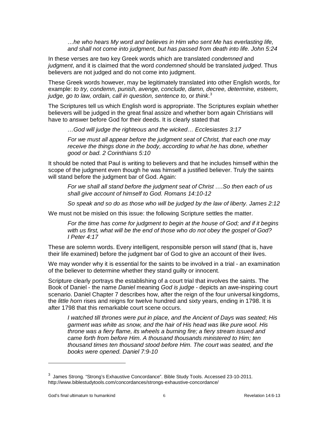*…he who hears My word and believes in Him who sent Me has everlasting life, and shall not come into judgment, but has passed from death into life. John 5:24*

In these verses are two key Greek words which are translated *condemned* and *judgment*, and it is claimed that the word *condemned* should be translated *judged*. Thus believers are not judged and do not come into judgment.

These Greek words however, may be legitimately translated into other English words, for example: *to try, condemn, punish, avenge, conclude, damn, decree, determine, esteem,*  judge, go to law, ordain, call in question, sentence to, or think.<sup>[3](#page-6-0)</sup>

The Scriptures tell us which English word is appropriate. The Scriptures explain whether believers will be judged in the great final assize and whether born again Christians will have to answer before God for their deeds. It is clearly stated that

*…God will judge the righteous and the wicked… Ecclesiastes 3:17*

*For we must all appear before the judgment seat of Christ, that each one may receive the things done in the body, according to what he has done, whether good or bad. 2 Corinthians 5:10*

It should be noted that Paul is writing to believers and that he includes himself within the scope of the judgment even though he was himself a justified believer. Truly the saints will stand before the judgment bar of God. Again:

*For we shall all stand before the judgment seat of Christ ….So then each of us shall give account of himself to God. Romans 14:10-12*

*So speak and so do as those who will be judged by the law of liberty. James 2:12*

We must not be misled on this issue: the following Scripture settles the matter.

*For the time has come for judgment to begin at the house of God; and if it begins with us first, what will be the end of those who do not obey the gospel of God? I Peter 4:17*

These are solemn words. Every intelligent, responsible person will *stand* (that is, have their life examined) before the judgment bar of God to give an account of their lives.

We may wonder why it is essential for the saints to be involved in a trial - an examination of the believer to determine whether they stand guilty or innocent.

Scripture clearly portrays the establishing of a court trial that involves the saints. The Book of Daniel - the name *Daniel* meaning *God is judge* - depicts an awe-inspiring court scenario. Daniel Chapter 7 describes how, after the reign of the four universal kingdoms, the *little horn* rises and reigns for twelve hundred and sixty years, ending in 1798. It is after 1798 that this remarkable court scene occurs.

*I watched till thrones were put in place, and the Ancient of Days was seated; His garment was white as snow, and the hair of His head was like pure wool. His throne was a fiery flame, its wheels a burning fire; a fiery stream issued and came forth from before Him. A thousand thousands ministered to Him; ten thousand times ten thousand stood before Him. The court was seated, and the books were opened. Daniel 7:9-10*

<span id="page-6-0"></span> $^3$  James Strong. "Strong's Exhaustive Concordance". Bible Study Tools. Accessed 23-10-2011. http://www.biblestudytools.com/concordances/strongs-exhaustive-concordance/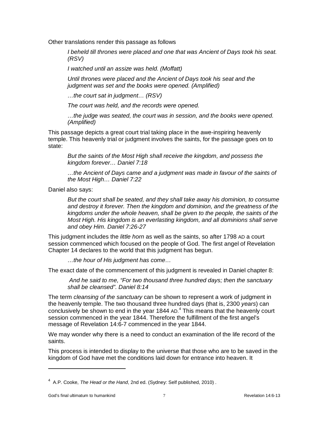Other translations render this passage as follows

*I beheld till thrones were placed and one that was Ancient of Days took his seat. (RSV)*

*I watched until an assize was held. (Moffatt)*

*Until thrones were placed and the Ancient of Days took his seat and the judgment was set and the books were opened. (Amplified)*

*…the court sat in judgment… (RSV)*

*The court was held, and the records were opened.* 

*…the judge was seated, the court was in session, and the books were opened. (Amplified)*

This passage depicts a great court trial taking place in the awe-inspiring heavenly temple. This heavenly trial or judgment involves the saints, for the passage goes on to state:

*But the saints of the Most High shall receive the kingdom, and possess the kingdom forever… Daniel 7:18*

*…the Ancient of Days came and a judgment was made in favour of the saints of the Most High… Daniel 7:22*

Daniel also says:

*But the court shall be seated, and they shall take away his dominion, to consume and destroy it forever. Then the kingdom and dominion, and the greatness of the kingdoms under the whole heaven, shall be given to the people, the saints of the Most High. His kingdom is an everlasting kingdom, and all dominions shall serve and obey Him. Daniel 7:26-27*

This judgment includes the *little horn* as well as the saints, so after 1798 AD a court session commenced which focused on the people of God. The first angel of Revelation Chapter 14 declares to the world that this judgment has begun.

*…the hour of His judgment has come…*

The exact date of the commencement of this judgment is revealed in Daniel chapter 8:

*And he said to me, "For two thousand three hundred days; then the sanctuary shall be cleansed". Daniel 8:14*

The term *cleansing of the sanctuary* can be shown to represent a work of judgment in the heavenly temple. The two thousand three hundred days (that is, 2300 *years*) can conclusively be shown to end in the year 1844 AD.[4](#page-7-0) This means that the heavenly court session commenced in the year 1844. Therefore the fulfillment of the first angel's message of Revelation 14:6-7 commenced in the year 1844.

We may wonder why there is a need to conduct an examination of the life record of the saints.

This process is intended to display to the universe that those who are to be saved in the kingdom of God have met the conditions laid down for entrance into heaven. It

<span id="page-7-0"></span><sup>&</sup>lt;sup>4</sup> A.P. Cooke, *The Head or the Hand*, 2nd ed. (Sydney: Self published, 2010) .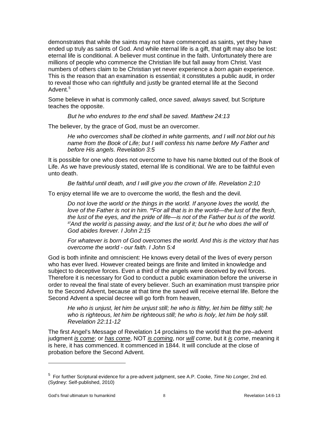demonstrates that while the saints may not have commenced as saints, yet they have ended up truly as saints of God. And while eternal life is a gift, that gift may also be lost: eternal life is conditional. A believer must continue in the faith. Unfortunately there are millions of people who commence the Christian life but fall away from Christ. Vast numbers of others claim to be Christian yet never experience a *born again* experience. This is the reason that an examination is essential; it constitutes a public audit, in order to reveal those who can rightfully and justly be granted eternal life at the Second Advent.<sup>[5](#page-8-0)</sup>

Some believe in what is commonly called, *once saved, always saved,* but Scripture teaches the opposite.

*But he who endures to the end shall be saved. Matthew 24:13*

The believer, by the grace of God, must be an overcomer.

*He who overcomes shall be clothed in white garments, and I will not blot out his name from the Book of Life; but I will confess his name before My Father and before His angels. Revelation 3:5*

It is possible for one who does not overcome to have his name blotted out of the Book of Life. As we have previously stated, eternal life is conditional. We are to be faithful even unto death.

*Be faithful until death, and I will give you the crown of life. Revelation 2:10*

To enjoy eternal life we are to overcome the world, the flesh and the devil.

*Do not love the world or the things in the world. If anyone loves the world, the love of the Father is not in him. 16For all that is in the world—the lust of the flesh, the lust of the eyes, and the pride of life—is not of the Father but is of the world. <sup>17</sup>And the world is passing away, and the lust of it; but he who does the will of God abides forever. I John 2:15*

*For whatever is born of God overcomes the world. And this is the victory that has overcome the world - our faith. I John 5:4*

God is both infinite and omniscient: He knows every detail of the lives of every person who has ever lived. However created beings are finite and limited in knowledge and subject to deceptive forces. Even a third of the angels were deceived by evil forces. Therefore it is necessary for God to conduct a public examination before the universe in order to reveal the final state of every believer. Such an examination must transpire prior to the Second Advent, because at that time the saved will receive eternal life. Before the Second Advent a special decree will go forth from heaven,

*He who is unjust, let him be unjust still; he who is filthy, let him be filthy still; he who is righteous, let him be righteous still; he who is holy, let him be holy still. Revelation 22:11-12* 

The first Angel's Message of Revelation 14 proclaims to the world that the pre–advent judgment *is come*; or *has come*, NOT *is coming*, nor *will come*, but it *is come*, meaning it is here, it has commenced. It commenced in 1844. It will conclude at the close of probation before the Second Advent.

<span id="page-8-0"></span><sup>5</sup> For further Scriptural evidence for a pre-advent judgment, see A.P. Cooke, *Time No Longer*, 2nd ed. (Sydney: Self-published, 2010)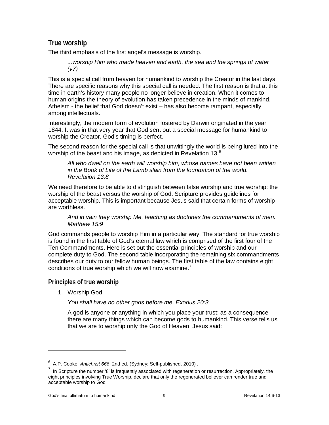## <span id="page-9-0"></span>**True worship**

The third emphasis of the first angel's message is worship.

*...worship Him who made heaven and earth, the sea and the springs of water (v7)*

This is a special call from heaven for humankind to worship the Creator in the last days. There are specific reasons why this special call is needed. The first reason is that at this time in earth's history many people no longer believe in creation. When it comes to human origins the theory of evolution has taken precedence in the minds of mankind. Atheism - the belief that God doesn't exist – has also become rampant, especially among intellectuals.

Interestingly, the modern form of evolution fostered by Darwin originated in the year 1844. It was in that very year that God sent out a special message for humankind to worship the Creator. God's timing is perfect.

The second reason for the special call is that unwittingly the world is being lured into the worship of the beast and his image, as depicted in Revelation 13. $^6$  $^6$ 

*All who dwell on the earth will worship him, whose names have not been written in the Book of Life of the Lamb slain from the foundation of the world. Revelation 13:8*

We need therefore to be able to distinguish between false worship and true worship: the worship of the beast versus the worship of God. Scripture provides guidelines for acceptable worship. This is important because Jesus said that certain forms of worship are worthless.

*And in vain they worship Me, teaching as doctrines the commandments of men. Matthew 15:9*

God commands people to worship Him in a particular way. The standard for true worship is found in the first table of God's eternal law which is comprised of the first four of the Ten Commandments. Here is set out the essential principles of worship and our complete duty to God. The second table incorporating the remaining six commandments describes our duty to our fellow human beings. The first table of the law contains eight conditions of true worship which we will now examine.<sup>[7](#page-9-3)</sup>

#### <span id="page-9-1"></span>**Principles of true worship**

1. Worship God.

*You shall have no other gods before me. Exodus 20:3*

A god is anyone or anything in which you place your trust; as a consequence there are many things which can become gods to humankind. This verse tells us that we are to worship only the God of Heaven. Jesus said:

<span id="page-9-2"></span><sup>&</sup>lt;sup>6</sup> A.P. Cooke, *Antichrist 666*, 2nd ed. (Sydney: Self-published, 2010) .

<span id="page-9-3"></span> $<sup>7</sup>$  In Scripture the number '8' is frequently associated with regeneration or resurrection. Appropriately, the</sup> eight principles involving True Worship, declare that only the regenerated believer can render true and acceptable worship to God.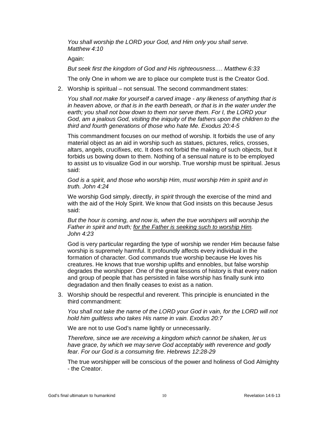*You shall worship the LORD your God, and Him only you shall serve. Matthew 4:10*

Again:

*But seek first the kingdom of God and His righteousness…. Matthew 6:33*

The only One in whom we are to place our complete trust is the Creator God.

2. Worship is spiritual – not sensual. The second commandment states:

*You shall not make for yourself a carved image - any likeness of anything that is in heaven above, or that is in the earth beneath, or that is in the water under the earth; you shall not bow down to them nor serve them. For I, the LORD your God, am a jealous God, visiting the iniquity of the fathers upon the children to the third and fourth generations of those who hate Me. Exodus 20:4-5*

This commandment focuses on our method of worship. It forbids the use of any material object as an aid in worship such as statues, pictures, relics, crosses, altars, angels, crucifixes, etc. It does not forbid the making of such objects, but it forbids us bowing down to them. Nothing of a sensual nature is to be employed to assist us to visualize God in our worship. True worship must be spiritual. Jesus said:

*God is a spirit, and those who worship Him, must worship Him in spirit and in truth. John 4:24*

We worship God simply, directly, *in spirit* through the exercise of the mind and with the aid of the Holy Spirit. We know that God insists on this because Jesus said:

*But the hour is coming, and now is, when the true worshipers will worship the Father in spirit and truth; for the Father is seeking such to worship Him. John 4:23*

God is very particular regarding the type of worship we render Him because false worship is supremely harmful. It profoundly affects every individual in the formation of character. God commands true worship because He loves his creatures. He knows that true worship uplifts and ennobles, but false worship degrades the worshipper. One of the great lessons of history is that every nation and group of people that has persisted in false worship has finally sunk into degradation and then finally ceases to exist as a nation.

3. Worship should be respectful and reverent. This principle is enunciated in the third commandment:

*You shall not take the name of the LORD your God in vain, for the LORD will not hold him guiltless who takes His name in vain. Exodus 20:7*

We are not to use God's name lightly or unnecessarily.

*Therefore, since we are receiving a kingdom which cannot be shaken, let us have grace, by which we may serve God acceptably with reverence and godly fear. For our God is a consuming fire. Hebrews 12:28-29*

The true worshipper will be conscious of the power and holiness of God Almighty - the Creator.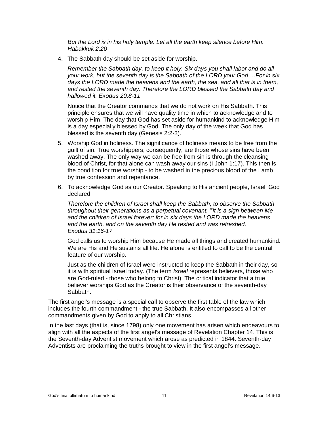*But the Lord is in his holy temple. Let all the earth keep silence before Him. Habakkuk 2:20*

4. The Sabbath day should be set aside for worship.

*Remember the Sabbath day, to keep it holy. Six days you shall labor and do all your work, but the seventh day is the Sabbath of the LORD your God….For in six*  days the LORD made the heavens and the earth, the sea, and all that is in them, *and rested the seventh day. Therefore the LORD blessed the Sabbath day and hallowed it. Exodus 20:8-11*

Notice that the Creator commands that we do not work on His Sabbath. This principle ensures that we will have quality time in which to acknowledge and to worship Him. The day that God has set aside for humankind to acknowledge Him is a day especially blessed by God. The only day of the week that God has blessed is the seventh day (Genesis 2:2-3).

- 5. Worship God in holiness. The significance of holiness means to be free from the guilt of sin. True worshippers, consequently, are those whose sins have been washed away. The only way we can be free from sin is through the cleansing blood of Christ, for that alone can wash away our sins (I John 1:17). This then is the condition for true worship - to be washed in the precious blood of the Lamb by true confession and repentance.
- 6. To acknowledge God as our Creator. Speaking to His ancient people, Israel, God declared

*Therefore the children of Israel shall keep the Sabbath, to observe the Sabbath throughout their generations as a perpetual covenant. 17It is a sign between Me and the children of Israel forever; for in six days the LORD made the heavens and the earth, and on the seventh day He rested and was refreshed. Exodus 31:16-17*

God calls us to worship Him because He made all things and created humankind. We are His and He sustains all life. He alone is entitled to call to be the central feature of our worship.

Just as the children of Israel were instructed to keep the Sabbath in their day, so it is with spiritual Israel today. (The term *Israel* represents believers, those who are God-ruled - those who belong to Christ). The critical indicator that a true believer worships God as the Creator is their observance of the seventh-day Sabbath.

The first angel's message is a special call to observe the first table of the law which includes the fourth commandment - the true Sabbath. It also encompasses all other commandments given by God to apply to all Christians.

In the last days (that is, since 1798) only one movement has arisen which endeavours to align with all the aspects of the first angel's message of Revelation Chapter 14. This is the Seventh-day Adventist movement which arose as predicted in 1844. Seventh-day Adventists are proclaiming the truths brought to view in the first angel's message.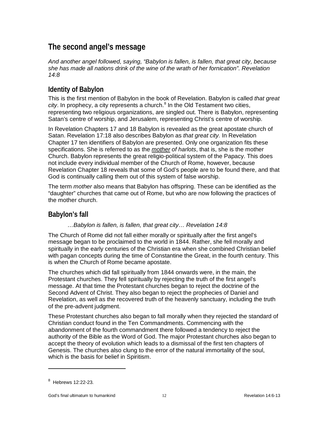# <span id="page-12-0"></span>**The second angel's message**

*And another angel followed, saying, "Babylon is fallen, is fallen, that great city, because she has made all nations drink of the wine of the wrath of her fornication". Revelation 14:8*

# <span id="page-12-1"></span>**Identity of Babylon**

This is the first mention of Babylon in the book of Revelation. Babylon is called *that great city*. In prophecy, a city represents a church.<sup>[8](#page-12-3)</sup> In the Old Testament two cities, representing two religious organizations, are singled out. There is Babylon, representing Satan's centre of worship, and Jerusalem, representing Christ's centre of worship.

In Revelation Chapters 17 and 18 Babylon is revealed as the great apostate church of Satan. Revelation 17:18 also describes Babylon as *that great city.* In Revelation Chapter 17 ten identifiers of Babylon are presented. Only one organization fits these specifications. She is referred to as the *mother of harlots*, that is, she is the mother Church. Babylon represents the great religio-political system of the Papacy. This does not include every individual member of the Church of Rome, however, because Revelation Chapter 18 reveals that some of God's people are to be found there, and that God is continually calling them out of this system of false worship.

The term *mother* also means that Babylon has offspring. These can be identified as the "daughter" churches that came out of Rome, but who are now following the practices of the mother church.

# <span id="page-12-2"></span>**Babylon's fall**

#### *…Babylon is fallen, is fallen, that great city… Revelation 14:8*

The Church of Rome did not fall either morally or spiritually after the first angel's message began to be proclaimed to the world in 1844. Rather, she fell morally and spiritually in the early centuries of the Christian era when she combined Christian belief with pagan concepts during the time of Constantine the Great, in the fourth century. This is when the Church of Rome became apostate.

The churches which did fall spiritually from 1844 onwards were, in the main, the Protestant churches. They fell spiritually by rejecting the truth of the first angel's message. At that time the Protestant churches began to reject the doctrine of the Second Advent of Christ. They also began to reject the prophecies of Daniel and Revelation, as well as the recovered truth of the heavenly sanctuary, including the truth of the pre-advent judgment.

These Protestant churches also began to fall morally when they rejected the standard of Christian conduct found in the Ten Commandments. Commencing with the abandonment of the fourth commandment there followed a tendency to reject the authority of the Bible as the Word of God. The major Protestant churches also began to accept the theory of evolution which leads to a dismissal of the first ten chapters of Genesis. The churches also clung to the error of the natural immortality of the soul, which is the basis for belief in Spiritism.

<span id="page-12-3"></span> $^8$  Hebrews 12:22-23.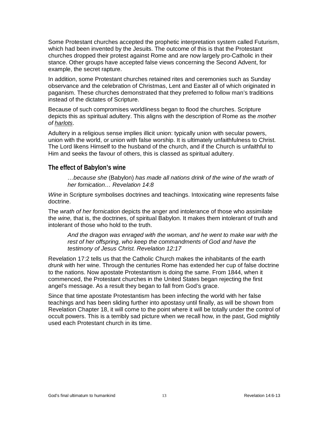Some Protestant churches accepted the prophetic interpretation system called Futurism, which had been invented by the Jesuits. The outcome of this is that the Protestant churches dropped their protest against Rome and are now largely pro-Catholic in their stance. Other groups have accepted false views concerning the Second Advent, for example, the secret rapture.

In addition, some Protestant churches retained rites and ceremonies such as Sunday observance and the celebration of Christmas, Lent and Easter all of which originated in paganism. These churches demonstrated that they preferred to follow man's traditions instead of the dictates of Scripture.

Because of such compromises worldliness began to flood the churches. Scripture depicts this as spiritual adultery. This aligns with the description of Rome as the *mother of harlots*.

Adultery in a religious sense implies illicit union: typically union with secular powers, union with the world, or union with false worship. It is ultimately unfaithfulness to Christ. The Lord likens Himself to the husband of the church, and if the Church is unfaithful to Him and seeks the favour of others, this is classed as spiritual adultery.

#### <span id="page-13-0"></span>**The effect of Babylon's wine**

*…because she* (Babylon) *has made all nations drink of the wine of the wrath of her fornication… Revelation 14:8*

*Wine* in Scripture symbolises doctrines and teachings. Intoxicating wine represents false doctrine.

The *wrath of her fornication* depicts the anger and intolerance of those who assimilate the *wine,* that is, the doctrines, of spiritual Babylon. It makes them intolerant of truth and intolerant of those who hold to the truth.

*And the dragon was enraged with the woman, and he went to make war with the rest of her offspring, who keep the commandments of God and have the testimony of Jesus Christ. Revelation 12:17*

Revelation 17:2 tells us that the Catholic Church makes the inhabitants of the earth *drunk* with her wine. Through the centuries Rome has extended her cup of false doctrine to the nations. Now apostate Protestantism is doing the same. From 1844, when it commenced, the Protestant churches in the United States began rejecting the first angel's message. As a result they began to fall from God's grace.

Since that time apostate Protestantism has been infecting the world with her false teachings and has been sliding further into apostasy until finally, as will be shown from Revelation Chapter 18, it will come to the point where it will be totally under the control of occult powers. This is a terribly sad picture when we recall how, in the past, God mightily used each Protestant church in its time.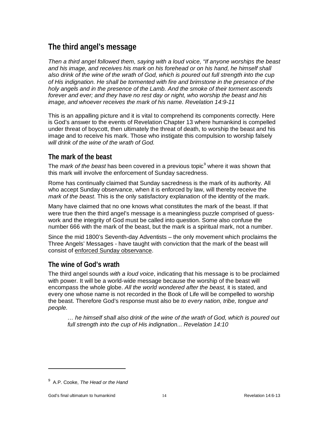# <span id="page-14-0"></span>**The third angel's message**

*Then a third angel followed them, saying with a loud voice, "If anyone worships the beast and his image, and receives his mark on his forehead or on his hand, he himself shall also drink of the wine of the wrath of God, which is poured out full strength into the cup of His indignation. He shall be tormented with fire and brimstone in the presence of the holy angels and in the presence of the Lamb. And the smoke of their torment ascends forever and ever; and they have no rest day or night, who worship the beast and his image, and whoever receives the mark of his name. Revelation 14:9-11*

This is an appalling picture and it is vital to comprehend its components correctly. Here is God's answer to the events of Revelation Chapter 13 where humankind is compelled under threat of boycott, then ultimately the threat of death, to worship the beast and his image and to receive his mark. Those who instigate this compulsion to worship falsely *will drink of the wine of the wrath of God.*

# <span id="page-14-1"></span>**The mark of the beast**

The *mark of the beast* has been covered in a previous topic<sup>[9](#page-14-3)</sup> where it was shown that this mark will involve the enforcement of Sunday sacredness.

Rome has continually claimed that Sunday sacredness is the mark of its authority. All who accept Sunday observance, when it is enforced by law, will thereby receive the *mark of the beast*. This is the only satisfactory explanation of the identity of the mark.

Many have claimed that no one knows what constitutes the mark of the beast. If that were true then the third angel's message is a meaningless puzzle comprised of guesswork and the integrity of God must be called into question. Some also confuse the number 666 with the mark of the beast, but the mark is a spiritual mark, not a number.

<span id="page-14-2"></span>Since the mid 1800's Seventh-day Adventists – the only movement which proclaims the Three Angels' Messages - have taught with conviction that the mark of the beast will consist of enforced Sunday observance.

## **The wine of God's wrath**

The third angel sounds *with a loud voice*, indicating that his message is to be proclaimed with power. It will be a world-wide message because the worship of the beast will encompass the whole globe. *All the world wondered after the beast,* it is stated, and every one whose name is not recorded in the Book of Life will be compelled to worship the beast. Therefore God's response must also be *to every nation, tribe, tongue and people.*

*… he himself shall also drink of the wine of the wrath of God, which is poured out full strength into the cup of His indignation... Revelation 14:10*

<span id="page-14-3"></span><sup>9</sup> A.P. Cooke, *The Head or the Hand*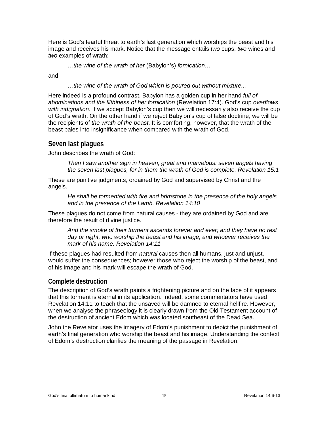Here is God's fearful threat to earth's last generation which worships the beast and his image and receives his mark. Notice that the message entails *two* cups, *two* wines and *two* examples of wrath:

*…the wine of the wrath of her* (Babylon's) *fornication…*

and

*…the wine of the wrath of God which is poured out without mixture...* 

Here indeed is a profound contrast. Babylon has a golden cup in her hand *full of abominations and the filthiness of her fornication* (Revelation 17:4). God's cup *overflows with indignation*. If we accept Babylon's cup then we will necessarily also receive the cup of God's wrath. On the other hand if we reject Babylon's cup of false doctrine, we will be the recipients of *the wrath of the beast*. It is comforting, however, that the wrath of the beast pales into insignificance when compared with the wrath of God.

## <span id="page-15-0"></span>**Seven last plagues**

John describes the wrath of God:

*Then I saw another sign in heaven, great and marvelous: seven angels having the seven last plagues, for in them the wrath of God is complete. Revelation 15:1*

These are punitive judgments, ordained by God and supervised by Christ and the angels.

*He shall be tormented with fire and brimstone in the presence of the holy angels and in the presence of the Lamb. Revelation 14:10*

These plagues do not come from natural causes - they are ordained by God and are therefore the result of divine justice.

*And the smoke of their torment ascends forever and ever; and they have no rest day or night, who worship the beast and his image, and whoever receives the mark of his name. Revelation 14:11* 

If these plagues had resulted from *natural* causes then all humans, just and unjust, would suffer the consequences; however those who reject the worship of the beast, and of his image and his mark will escape the wrath of God.

#### <span id="page-15-1"></span>**Complete destruction**

The description of God's wrath paints a frightening picture and on the face of it appears that this torment is eternal in its application. Indeed, some commentators have used Revelation 14:11 to teach that the unsaved will be damned to eternal hellfire. However, when we analyse the phraseology it is clearly drawn from the Old Testament account of the destruction of ancient Edom which was located southeast of the Dead Sea.

John the Revelator uses the imagery of Edom's punishment to depict the punishment of earth's final generation who worship the beast and his image. Understanding the context of Edom's destruction clarifies the meaning of the passage in Revelation.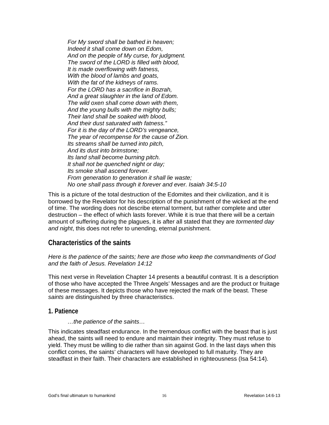*For My sword shall be bathed in heaven; Indeed it shall come down on Edom, And on the people of My curse, for judgment. The sword of the LORD is filled with blood, It is made overflowing with fatness, With the blood of lambs and goats, With the fat of the kidneys of rams. For the LORD has a sacrifice in Bozrah, And a great slaughter in the land of Edom. The wild oxen shall come down with them, And the young bulls with the mighty bulls; Their land shall be soaked with blood, And their dust saturated with fatness." For it is the day of the LORD's vengeance, The year of recompense for the cause of Zion. Its streams shall be turned into pitch, And its dust into brimstone; Its land shall become burning pitch. It shall not be quenched night or day; Its smoke shall ascend forever. From generation to generation it shall lie waste; No one shall pass through it forever and ever. Isaiah 34:5-10*

This is a picture of the total destruction of the Edomites and their civilization, and it is borrowed by the Revelator for his description of the punishment of the wicked at the end of time. The wording does not describe eternal torment, but rather complete and utter destruction – the effect of which lasts forever. While it is true that there will be a certain amount of suffering during the plagues, it is after all stated that they are *tormented day and night*, this does not refer to unending, eternal punishment.

## <span id="page-16-0"></span>**Characteristics of the saints**

*Here is the patience of the saints; here are those who keep the commandments of God and the faith of Jesus. Revelation 14:12*

This next verse in Revelation Chapter 14 presents a beautiful contrast. It is a description of those who have accepted the Three Angels' Messages and are the product or fruitage of these messages. It depicts those who have rejected the mark of the beast. These *saints* are distinguished by three characteristics.

#### <span id="page-16-1"></span>**1. Patience**

#### *…the patience of the saints…*

This indicates steadfast endurance. In the tremendous conflict with the beast that is just ahead, the saints will need to endure and maintain their integrity. They must refuse to yield. They must be willing to die rather than sin against God. In the last days when this conflict comes, the saints' characters will have developed to full maturity. They are steadfast in their faith. Their characters are established in righteousness (Isa 54:14).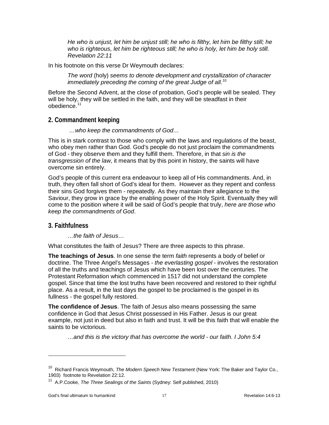*He who is unjust, let him be unjust still; he who is filthy, let him be filthy still; he who is righteous, let him be righteous still; he who is holy, let him be holy still. Revelation 22:11*

In his footnote on this verse Dr Weymouth declares:

*The word* (holy) *seems to denote development and crystallization of character immediately preceding the coming of the great Judge of all.*[10](#page-17-2)

Before the Second Advent, at the close of probation, God's people will be sealed. They will be holy, they will be settled in the faith, and they will be steadfast in their obedience.<sup>[11](#page-17-3)</sup>

#### <span id="page-17-0"></span>**2. Commandment keeping**

*…who keep the commandments of God…*

This is in stark contrast to those who comply with the laws and regulations of the beast, who obey men rather than God. God's people do not just proclaim the commandments of God - they observe them and they fulfill them. Therefore, in that *sin is the transgression of the law*, it means that by this point in history, the saints will have overcome sin entirely.

God's people of this current era endeavour to keep all of His commandments. And, in truth, they often fall short of God's ideal for them. However as they repent and confess their sins God forgives them - repeatedly. As they maintain their allegiance to the Saviour, they grow in grace by the enabling power of the Holy Spirit. Eventually they will come to the position where it will be said of God's people that truly, *here are those who keep the commandments of God*.

#### <span id="page-17-1"></span>**3. Faithfulness**

*…the faith of Jesus…*

What constitutes the faith of Jesus? There are three aspects to this phrase.

**The teachings of Jesus**. In one sense the term *faith* represents a body of belief or doctrine. The Three Angel's Messages - *the everlasting gospel* - involves the restoration of all the truths and teachings of Jesus which have been lost over the centuries. The Protestant Reformation which commenced in 1517 did not understand the complete gospel. Since that time the lost truths have been recovered and restored to their rightful place. As a result, in the last days the gospel to be proclaimed is the gospel in its fullness - the gospel fully restored.

**The confidence of Jesus**. The faith of Jesus also means possessing the same confidence in God that Jesus Christ possessed in His Father. Jesus is our great example, not just in deed but also in faith and trust. It will be this faith that will enable the saints to be victorious.

*…and this is the victory that has overcome the world - our faith. I John 5:4*

<span id="page-17-2"></span><sup>10</sup> Richard Francis Weymouth, *The Modern Speech New Testament* (New York: The Baker and Taylor Co., 1903) footnote to Revelation 22:12.

<span id="page-17-3"></span><sup>&</sup>lt;sup>11</sup> A.P.Cooke, *The Three Sealings of the Saints* (Sydney: Self published, 2010)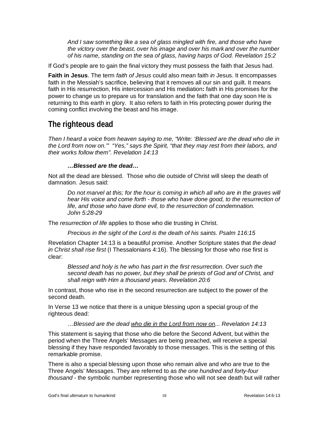*And I saw something like a sea of glass mingled with fire, and those who have the victory over the beast, over his image and over his mark and over the number of his name, standing on the sea of glass, having harps of God. Revelation 15:2*

If God's people are to gain the final victory they must possess the faith that Jesus had.

**Faith in Jesus**. The term *faith of Jesus* could also mean faith *in* Jesus. It encompasses faith in the Messiah's sacrifice, believing that it removes all our sin and guilt. It means faith in His resurrection, His intercession and His mediation**:** faith in His promises for the power to change us to prepare us for translation and the faith that one day soon He is returning to this earth in glory. It also refers to faith in His protecting power during the coming conflict involving the beast and his image.

# <span id="page-18-0"></span>**The righteous dead**

*Then I heard a voice from heaven saying to me, "Write: 'Blessed are the dead who die in the Lord from now on.'" "Yes," says the Spirit, "that they may rest from their labors, and their works follow them". Revelation 14:13*

#### *…Blessed are the dead…*

Not all the dead are blessed. Those who die outside of Christ will sleep the death of damnation. Jesus said:

*Do not marvel at this; for the hour is coming in which all who are in the graves will hear His voice and come forth - those who have done good, to the resurrection of life, and those who have done evil, to the resurrection of condemnation. John 5:28-29*

The *resurrection of life* applies to those who die trusting in Christ.

*Precious in the sight of the Lord is the death of his saints. Psalm 116:15*

Revelation Chapter 14:13 is a beautiful promise. Another Scripture states that *the dead in Christ shall rise first* (I Thessalonians 4:16). The blessing for those who rise first is clear:

*Blessed and holy is he who has part in the first resurrection. Over such the second death has no power, but they shall be priests of God and of Christ, and shall reign with Him a thousand years. Revelation 20:6*

In contrast, those who rise in the second resurrection are subject to the power of the second death.

In Verse 13 we notice that there is a unique blessing upon a special group of the righteous dead:

*…Blessed are the dead who die in the Lord from now on... Revelation 14:13*

This statement is saying that those who die before the Second Advent, but within the period when the Three Angels' Messages are being preached, will receive a special blessing if they have responded favorably to those messages. This is the setting of this remarkable promise.

There is also a special blessing upon those who remain alive and who are true to the Three Angels' Messages. They are referred to as *the one hundred and forty-four thousand* - the symbolic number representing those who will not see death but will rather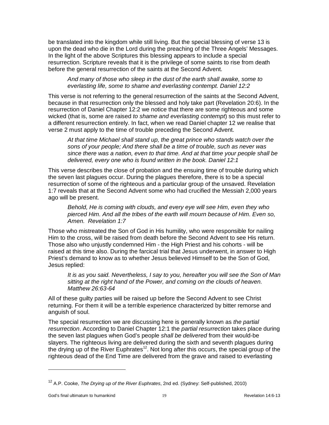be translated into the kingdom while still living. But the special blessing of verse 13 is upon the dead who die in the Lord during the preaching of the Three Angels' Messages. In the light of the above Scriptures this blessing appears to include a special resurrection. Scripture reveals that it is the privilege of some saints to rise from death before the general resurrection of the saints at the Second Advent.

*And many of those who sleep in the dust of the earth shall awake, some to everlasting life, some to shame and everlasting contempt. Daniel 12:2*

This verse is not referring to the general resurrection of the saints at the Second Advent, because in that resurrection only the blessed and holy take part (Revelation 20:6). In the resurrection of Daniel Chapter 12:2 we notice that there are some righteous and some wicked (that is, some are raised *to shame and everlasting contempt*) so this must refer to a different resurrection entirely. In fact, when we read Daniel chapter 12 we realise that verse 2 must apply to the time of trouble preceding the Second Advent.

*At that time Michael shall stand up, the great prince who stands watch over the sons of your people; And there shall be a time of trouble, such as never was since there was a nation, even to that time. And at that time your people shall be delivered, every one who is found written in the book. Daniel 12:1*

This verse describes the close of probation and the ensuing time of trouble during which the seven last plagues occur. During the plagues therefore, there is to be a special resurrection of some of the righteous and a particular group of the unsaved. Revelation 1:7 reveals that at the Second Advent some who had crucified the Messiah 2,000 years ago will be present.

*Behold, He is coming with clouds, and every eye will see Him, even they who pierced Him. And all the tribes of the earth will mourn because of Him. Even so, Amen. Revelation 1:7*

Those who mistreated the Son of God in His humility, who were responsible for nailing Him to the cross, will be raised from death before the Second Advent to see His return. Those also who unjustly condemned Him - the High Priest and his cohorts - will be raised at this time also. During the farcical trial that Jesus underwent, in answer to High Priest's demand to know as to whether Jesus believed Himself to be the Son of God, Jesus replied:

*It is as you said. Nevertheless, I say to you, hereafter you will see the Son of Man sitting at the right hand of the Power, and coming on the clouds of heaven. Matthew 26:63-64*

All of these guilty parties will be raised up before the Second Advent to see Christ returning. For them it will be a terrible experience characterized by bitter remorse and anguish of soul.

The special resurrection we are discussing here is generally known as *the partial resurrection*. According to Daniel Chapter 12:1 the *partial resurrection* takes place during the seven last plagues when God's people *shall be delivered* from their would-be slayers. The righteous living are delivered during the sixth and seventh plagues during the drying up of the River Euphrates<sup>12</sup>. Not long after this occurs, the special group of the righteous dead of the End Time are delivered from the grave and raised to everlasting

<span id="page-19-0"></span><sup>12</sup> A.P. Cooke, *The Drying up of the River Euphrates*, 2nd ed. (Sydney: Self-published, 2010)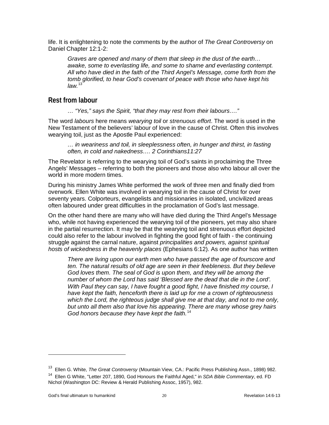life. It is enlightening to note the comments by the author of *The Great Controversy* on Daniel Chapter 12:1-2:

*Graves are opened and many of them that sleep in the dust of the earth… awake, some to everlasting life, and some to shame and everlasting contempt. All who have died in the faith of the Third Angel's Message, come forth from the tomb glorified, to hear God's covenant of peace with those who have kept his law.*[13](#page-20-1)

## <span id="page-20-0"></span>**Rest from labour**

*… "Yes," says the Spirit, "that they may rest from their labours…."*

The word *labours* here means *wearying toil* or *strenuous effort*. The word is used in the New Testament of the believers' labour of love in the cause of Christ. Often this involves wearying toil, just as the Apostle Paul experienced:

*… in weariness and toil, in sleeplessness often, in hunger and thirst, in fasting often, in cold and nakedness…. 2 Corinthians11:27*

The Revelator is referring to the wearying toil of God's saints in proclaiming the Three Angels' Messages – referring to both the pioneers and those also who labour all over the world in more modern times.

During his ministry James White performed the work of three men and finally died from overwork. Ellen White was involved in wearying toil in the cause of Christ for over seventy years. Colporteurs, evangelists and missionaries in isolated, uncivilized areas often laboured under great difficulties in the proclamation of God's last message.

On the other hand there are many who will have died during the Third Angel's Message who, while not having experienced the wearying toil of the pioneers, yet may also share in the partial resurrection. It may be that the wearying toil and strenuous effort depicted could also refer to the labour involved in fighting the good fight of faith - the continuing struggle against the carnal nature, against *principalities and powers, against spiritual hosts of wickedness in the heavenly places* (Ephesians 6:12). As one author has written

*There are living upon our earth men who have passed the age of fourscore and ten. The natural results of old age are seen in their feebleness. But they believe God loves them. The seal of God is upon them, and they will be among the number of whom the Lord has said 'Blessed are the dead that die in the Lord'. With Paul they can say, I have fought a good fight, I have finished my course, I have kept the faith, henceforth there is laid up for me a crown of righteousness which the Lord, the righteous judge shall give me at that day, and not to me only, but unto all them also that love his appearing. There are many whose grey hairs God honors because they have kept the faith.*[14](#page-20-2)

<span id="page-20-1"></span><sup>13</sup> Ellen G. White, *The Great Controversy* (Mountain View, CA.: Pacific Press Publishing Assn., 1898) 982.

<span id="page-20-2"></span><sup>14</sup> Ellen G White, "Letter 207, 1890, God Honours the Faithful Aged," in *SDA Bible Commentary*, ed. FD Nichol (Washington DC: Review & Herald Publishing Assoc, 1957), 982.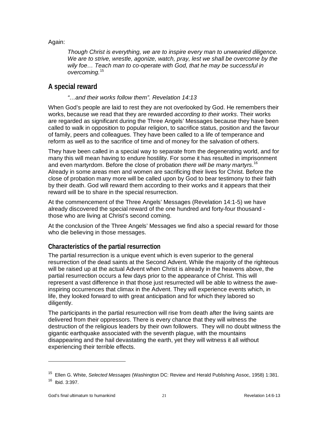Again:

*Though Christ is everything, we are to inspire every man to unwearied diligence. We are to strive, wrestle, agonize, watch, pray, lest we shall be overcome by the wily foe… Teach man to co-operate with God, that he may be successful in overcoming.*[15](#page-21-2)

## <span id="page-21-0"></span>**A special reward**

#### *"…and their works follow them". Revelation 14:13*

When God's people are laid to rest they are not overlooked by God. He remembers their works, because we read that they are rewarded *according to their works*. Their works are regarded as significant during the Three Angels' Messages because they have been called to walk in opposition to popular religion, to sacrifice status, position and the favour of family, peers and colleagues. They have been called to a life of temperance and reform as well as to the sacrifice of time and of money for the salvation of others.

They have been called in a special way to separate from the degenerating world, and for many this will mean having to endure hostility. For some it has resulted in imprisonment and even martyrdom. Before the close of probation *there will be many martyrs*. [16](#page-21-3) Already in some areas men and women are sacrificing their lives for Christ. Before the close of probation many more will be called upon by God to bear testimony to their faith by their death. God will reward them according to their works and it appears that their reward will be to share in the special resurrection.

At the commencement of the Three Angels' Messages (Revelation 14:1-5) we have already discovered the special reward of the one hundred and forty-four thousand those who are living at Christ's second coming.

At the conclusion of the Three Angels' Messages we find also a special reward for those who die believing in those messages.

#### <span id="page-21-1"></span>**Characteristics of the partial resurrection**

The partial resurrection is a unique event which is even superior to the general resurrection of the dead saints at the Second Advent. While the majority of the righteous will be raised up at the actual Advent when Christ is already in the heavens above, the partial resurrection occurs a few days prior to the appearance of Christ. This will represent a vast difference in that those just resurrected will be able to witness the aweinspiring occurrences that climax in the Advent. They will experience events which, in life, they looked forward to with great anticipation and for which they labored so diligently.

The participants in the partial resurrection will rise from death after the living saints are delivered from their oppressors. There is every chance that they will witness the destruction of the religious leaders by their own followers. They will no doubt witness the gigantic earthquake associated with the seventh plague, with the mountains disappearing and the hail devastating the earth, yet they will witness it all without experiencing their terrible effects.

<span id="page-21-3"></span><span id="page-21-2"></span><sup>15</sup> Ellen G. White, *Selected Messages* (Washington DC: Review and Herald Publishing Assoc, 1958) 1:381.  $16$  Ibid. 3:397.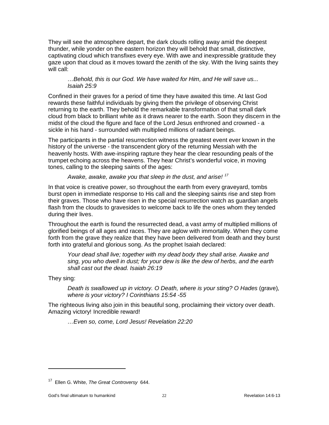They will see the atmosphere depart, the dark clouds rolling away amid the deepest thunder, while yonder on the eastern horizon they will behold that small, distinctive, captivating cloud which transfixes every eye. With awe and inexpressible gratitude they gaze upon that cloud as it moves toward the zenith of the sky. With the living saints they will call:

#### *…Behold, this is our God. We have waited for Him, and He will save us... Isaiah 25:9*

Confined in their graves for a period of time they have awaited this time. At last God rewards these faithful individuals by giving them the privilege of observing Christ returning to the earth. They behold the remarkable transformation of that small dark cloud from black to brilliant white as it draws nearer to the earth. Soon they discern in the midst of the cloud the figure and face of the Lord Jesus enthroned and crowned - a sickle in his hand - surrounded with multiplied millions of radiant beings.

The participants in the partial resurrection witness the greatest event ever known in the history of the universe - the transcendent glory of the returning Messiah with the heavenly hosts. With awe-inspiring rapture they hear the clear resounding peals of the trumpet echoing across the heavens. They hear Christ's wonderful voice, in moving tones, calling to the sleeping saints of the ages:

#### *Awake, awake, awake you that sleep in the dust, and arise! [17](#page-22-0)*

In that voice is creative power, so throughout the earth from every graveyard, tombs burst open in immediate response to His call and the sleeping saints rise and step from their graves. Those who have risen in the special resurrection watch as guardian angels flash from the clouds to gravesides to welcome back to life the ones whom they tended during their lives.

Throughout the earth is found the resurrected dead, a vast army of multiplied millions of glorified beings of all ages and races. They are aglow with immortality. When they come forth from the grave they realize that they have been delivered from death and they burst forth into grateful and glorious song. As the prophet Isaiah declared:

*Your dead shall live; together with my dead body they shall arise. Awake and sing, you who dwell in dust; for your dew is like the dew of herbs, and the earth shall cast out the dead. Isaiah 26:19*

They sing:

 $\overline{a}$ 

*Death is swallowed up in victory. O Death, where is your sting? O Hades* (grave)*, where is your victory? I Corinthians 15:54 -55*

The righteous living also join in this beautiful song, proclaiming their victory over death. Amazing victory! Incredible reward!

*…Even so, come, Lord Jesus! Revelation 22:20*

<span id="page-22-0"></span><sup>17</sup> Ellen G. White, *The Great Controversy* 644.